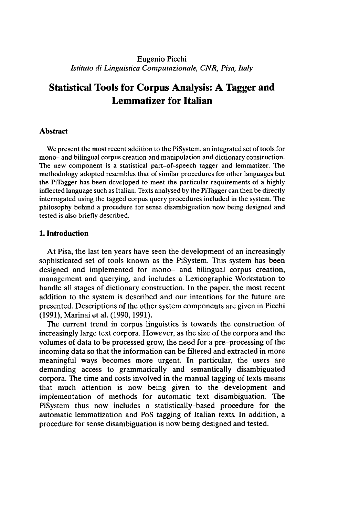## Eugenio Picchi *Istituto di Linguistica Computazionale, CNR, Pisa, Italy*

# **Statistical Tools for Corpus Analysis: A Tagger and Lemmatizer for Italian**

#### **Abstract**

We present the most recent addition to the PiSystem, an integrated set of tools for mono- and bilingual corpus creation and manipulation and dictionary construction. The new component is a statistical part-of-speech tagger and lemmatizer. The methodology adopted resembles that of similar procedures for other languages but the PiTagger has been developed to meet the particular requirements of a highly inflected language such as Italian. Texts analysed by the PiTagger can then be directly interrogated using the tagged corpus query procedures included in the system. The philosophy behind a procedure for sense disambiguation now being designed and tested is also briefly described.

#### **1. Introduction**

At Pisa, the last ten years have seen the development of an increasingly sophisticated set of tools known as the PiSystem. This system has been designed and implemented for mono- and bilingual corpus creation, management and querying, and includes a Lexicographic Workstation to handle all stages of dictionary construction. In the paper, the most recent addition to the system is described and our intentions for the future are presented. Descriptions of the other system components are given in Picchi (1991), Marinai et al. (1990,1991).

The current trend in corpus linguistics is towards the construction of increasingly large text corpora. However, as the size of the corpora and the volumes of data to be processed grow, the need for a pre-processing of the incoming data so that the information can be filtered and extracted in more meaningful ways becomes more urgent. In particular, the users are demanding access to grammatically and semantically disambiguated corpora. The time and costs involved in the manual tagging of texts means that much attention is now being given to the development and implementation of methods for automatic text disambiguation. The PiSystem thus now includes a statistically-based procedure for the automatic lemmatization and PoS tagging of Italian texts. In addition, a procedure for sense disambiguation is now being designed and tested.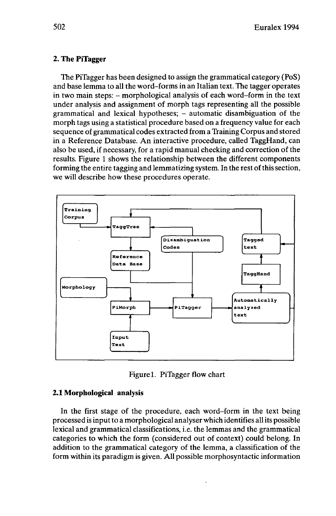## **2. The PiTagger**

The PiTagger has been designed to assign the grammatical category (PoS) and base lemma to all the word-forms in an Italian text. The tagger operates in two main steps: - morphological analysis of each word-form in the text under analysis and assignment of morph tags representing all the possible grammatical and lexical hypotheses; - automatic disambiguation of the morph tags using a statistical procedure based on a frequency value for each sequence of grammatical codes extracted from a Training Corpus and stored in a Reference Database. An interactive procedure, called TaggHand, can also be used, if necessary, for a rapid manual checking and correction of the results. Figure 1 shows the relationship between the different components forming the entire tagging and lemmatizing system. In the rest of this section, we will describe how these procedures operate.



Figurel. PiTagger flow chart

## **2.1 Morphological analysis**

In the first stage of the procedure, each word-form in the text being processed is inputto a morphological analyser which identifies allits possible lexical and grammatical classifications, i.e. the lemmas and the grammatical categories to which the form (considered out of context) could belong. In addition to the grammatical category of the lemma, a classification of the form within its paradigm is given. All possible morphosyntactic information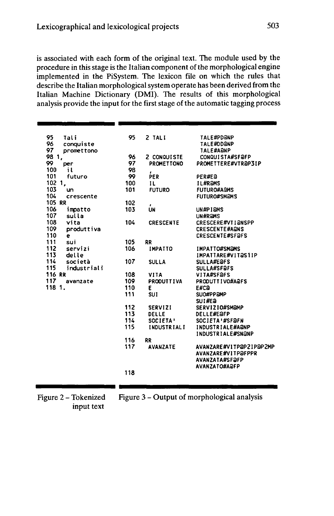is associated with each form of the original text. The module used by the procedure in this stage is the Italian component of the morphological engine implemented in the PiSystem. The lexicon file on which the rules that describe the Italian morphological system operate has been derived from the Italian Machine Dictionary (DMI). The results of this morphological analysis provide the input for the first stage of the automatic tagging process

| 95<br>Tali                | 95  | 2 TALI             | <b>TALE#PDONP</b>        |
|---------------------------|-----|--------------------|--------------------------|
| 96<br>conquiste           |     |                    | <b>TALE#DDANP</b>        |
| 97<br>promettono          |     |                    | <b>TALE#AQNP</b>         |
| $\mathbf{1}_{\ell}$<br>98 | 96  | 2 CONQUISTE        | CONQUISTA#SFAFP          |
| 99<br>per                 | 97  | PROMETTONO         | PROMETTERE#VTR@P3IP      |
| 100<br>i١                 | 98  | ,                  |                          |
| 101<br>futuro             | 99  | PER                | PER#E@                   |
| 102 1,                    | 100 | H.                 | <b>IL#RaMS</b>           |
| 103<br>un                 | 101 | <b>FUTURO</b>      | <b>FUTURO#A&amp;MS</b>   |
| 104<br>crescente          |     |                    | <b>FUTURO#SMAMS</b>      |
| 105 RR                    | 102 |                    |                          |
| 106<br>impatto            | 103 | <b>UN</b>          | UN#PIQMS                 |
| 107<br>sulla              |     |                    | UN#RaMS                  |
| 108<br>vita               | 104 | <b>CRESCENTE</b>   | CRESCERE#VTI@NSPP        |
| 109<br>produttiva         |     |                    | <b>CRESCENTE#AQNS</b>    |
| 110<br>e                  |     |                    | <b>CRESCENTE#SFOFS</b>   |
| 111<br>sui                | 105 | <b>RR</b>          |                          |
| 112<br>servizi            | 106 | <b>IMPATTO</b>     | <b>IMPATTO#SMOMS</b>     |
| 113<br>delle              |     |                    | IMPATTARE#VIT@S1IP       |
| 114                       |     |                    |                          |
| società                   | 107 | <b>SULLA</b>       | <b>SULLA#E@FS</b>        |
| 115<br>industriali        |     |                    | <b>SULLA#SF@FS</b>       |
| <b>116 RR</b>             | 108 | <b>VITA</b>        | VITA#SF@FS               |
| 117<br>avanzate           | 109 | <b>PRODUTTIVA</b>  | PRODUTTIVO#A@FS          |
| 118 1.                    | 110 | ε                  | E#Ca                     |
|                           | 111 | <b>SUI</b>         | SUO#PPaMP                |
|                           |     |                    | SUI#Ea                   |
|                           | 112 | <b>SERVIZI</b>     | <b>SERVIZIO#SMAMP</b>    |
|                           | 113 | DELLE              | <b>DELLE#EaFP</b>        |
|                           | 114 | SOCIETA'           | <b>SOCIETA'#SF@FN</b>    |
|                           | 115 | <b>INDUSTRIALI</b> | <b>INDUSTRIALE#A@NP</b>  |
|                           |     |                    | <b>INDUSTRIALE#SNONP</b> |
|                           | 116 | RR                 |                          |
|                           | 117 | <b>AVANZATE</b>    | AVANZARE#VITPaPZIPaP2MP  |
|                           |     |                    | AVANZARE#VITP@FPPR       |
|                           |     |                    | <b>AVANZATA#SFƏFP</b>    |
|                           |     |                    | AVANZATO#A@FP            |
|                           | 118 |                    |                          |
|                           |     |                    |                          |
|                           |     |                    |                          |
|                           |     |                    |                          |

Figure 2 - Tokenized input text

Figure 3 - Output of morphological analysis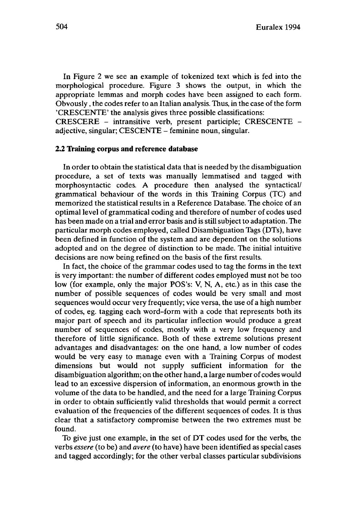In Figure 2 we see an example of tokenized text which is fed into the morphological procedure. Figure 3 shows the output, in which the appropriate lemmas and morph codes have been assigned to each form. Obvously, the codes refer to an Italian analysis. Thus, in the case of the form 'CRESCENTE' the analysis gives three possible classifications:

CRESCERE - intransitive verb, present participle; CRESCENTE adiective, singular; CESCENTE – feminine noun, singular.

### **2.2 Training corpus and reference database**

In order to obtain the statistical data that is needed by the disambiguation procedure, a set of texts was manually lemmatised and tagged with morphosyntactic codes. A procedure then analysed the syntactical/ grammatical behaviour of the words in this Training Corpus (TC) and memorized the statistical results in a Reference Database. The choice of an optimal level of grammatical coding and therefore of number of codes used has been made on a trial and error basis and is still subject to adaptation. The particular morph codes employed, called Disambiguation Tags (DTs), have been defined in function of the system and are dependent on the solutions adopted and on the degree of distinction to be made. The initial intuitive decisions are now being refined on the basis of the first results.

In fact, the choice of the grammar codes used to tag the forms in the text is very important: the number of different codes employed must not be too low (for example, only the major POS's: V, N, A, etc.) as in this case the number of possible sequences of codes would be very small and most sequences would occur very frequently; vice versa, the use of a high number of codes, eg. tagging each word-form with a code that represents both its major part of speech and its particular inflection would produce a great number of sequences of codes, mostly with a very low frequency and therefore of little significance. Both of these extreme solutions present advantages and disadvantages: on the one hand, a low number of codes would be very easy to manage even with a Training Corpus of modest dimensions but would not supply sufficient information for the disambiguation algorithm; on the other hand, a large number of codes would lead to an excessive dispersion of information, an enormous growth in the volume of the data to be handled, and the need for a large Training Corpus in order to obtain sufficiently valid thresholds that would permit a correct evaluation of the frequencies of the different sequences of codes. It is thus clear that a satisfactory compromise between the two extremes must be found.

To give just one example, in the set of DT codes used for the verbs, the verbs *essere* (to be) and *avere* (to have) have been identified as special cases and tagged accordingly; for the other verbal classes particular subdivisions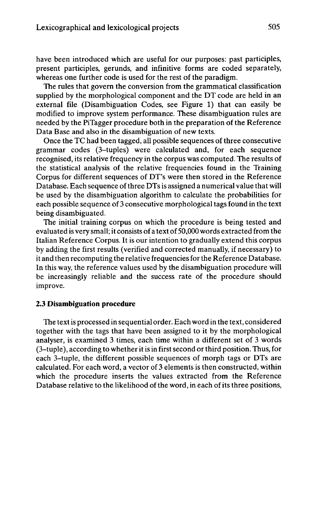have been introduced which are useful for our purposes: past participles, present participles, gerunds, and infinitive forms are coded separately, whereas one further code is used for the rest of the paradigm.

The rules that govern the conversion from the grammatical classification supplied by the morphological component and the DT code are held in an external file (Disambiguation Codes, see Figure 1) that can easily be modified to improve system performance. These disambiguation rules are needed by the PiTagger procedure both in the preparation of the Reference Data Base and also in the disambiguation of new texts.

Once the TC had been tagged, all possible sequences of three consecutive grammar codes (3-tuples) were calculated and, for each sequence recognised, its relative frequency in the corpus was computed. The results of the statistical analysis of the relative frequencies found in the Training Corpus for different sequences of DT's were then stored in the Reference Database. Each sequence of three DTs is assigned a numerical value that will be used by the disambiguation algorithm to calculate the probabilities for each possible sequence of 3 consecutive morphological tags found in the text being disambiguated.

The initial training corpus on which the procedure is being tested and evaluated is very small; it consists of a text of 50,000 words extracted from the Italian Reference Corpus. It is our intention to gradually extend this corpus by adding the first results (verified and corrected manually, if necessary) to it and then recomputing the relative frequenciesforthe Reference Database. In this way, the reference values used by the disambiguation procedure will be increasingly reliable and the success rate of the procedure should improve.

#### **2.3 Disambiguation procedure**

The textis processed in sequential order. Each word in the text, considered together with the tags that have been assigned to it by the morphological analyser, is examined 3 times, each time within a different set of 3 words (3-tuple), according to whether it is in first second or third position. Thus, for each 3-tuple, the different possible sequences of morph tags or DTs are calculated. For each word, a vector of 3 elements is then constructed, within which the procedure inserts the values extracted from the Reference Database relative to the likelihood of the word, in each of its three positions,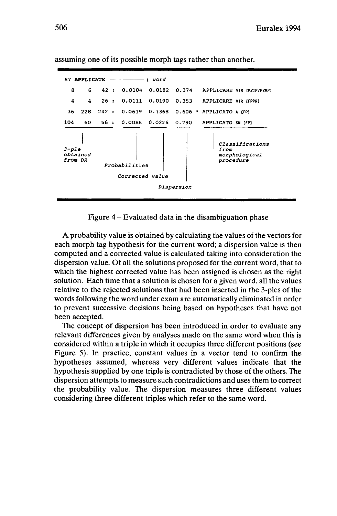

assuming one of its possible morph tags rather than another.

Figure <sup>4</sup> - Evaluated data in the disambiguation phase

A probability value is obtained by calculating the values of the vectors for each morph tag hypothesis for the current word; a dispersion value is then computed and a corrected value is calculated taking into consideration the dispersion value. Of all the solutions proposed for the current word, that to which the highest corrected value has been assigned is chosen as the right solution. Each time that a solution is chosen for a given word, all the values relative to the rejected solutions that had been inserted in the 3-ples of the words following the word under exam are automatically eliminated in order to prevent successive decisions being based on hypotheses that have not been accepted.

The concept of dispersion has been introduced in order to evaluate any relevant differences given by analyses made on the same word when this is considered within a triple in which it occupies three different positions (see Figure 5). In practice, constant values in a vector tend to confirm the hypotheses assumed, whereas very different values indicate that the hypothesis supplied by one triple is contradicted by those of the others. The dispersion attempts to measure such contradictions and uses them to correct the probability value. The dispersion measures three different values considering three different triples which refer to the same word.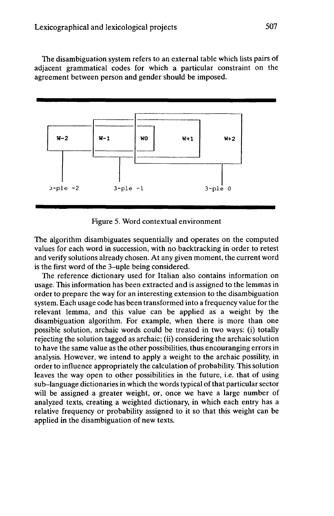The disambiguation system refers to an external table which lists pairs of adjacent grammatical codes for which a particular constraint on the agreement between person and gender should be imposed.



Figure 5. Word contextual environment

The algorithm disambiguates sequentially and operates on the computed values for each word in succession, with no backtracking in order to retest and verify solutions already chosen. At any given moment, the current word is the first word of the 3-uple being considered.

The reference dictionary used for Italian also contains information on usage. This information has been extracted and is assigned to the lemmas in order to prepare the way for an interesting extension to the disambiguation system. Each usage code has been transformed into a frequency value for the relevant lemma, and this value can be applied as a weight by the disambiguation algorithm. For example, when there is more than one possible solution, archaic words could be treated in two ways: (i) totally rejecting the solution tagged as archaic; (ii) considering the archaic solution to have the same value as the other possibilities, thus encouranging errors in analysis. However, we intend to apply a weight to the archaic possility, in order to influence appropriately the calculation of probability. This solution leaves the way open to other possibilities in the future, i.e. that of using sub-language dictionaries in which the words typical of that particular sector will be assigned a greater weight, or, once we have a large number of analyzed texts, creating a weighted dictionary, in which each entry has a relative frequency or probability assigned to it so that this weight can be applied in the disambiguation of new texts.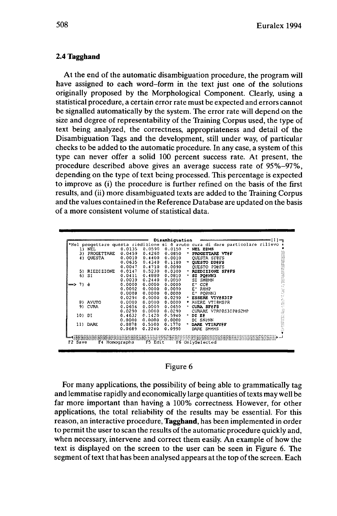### 2.4 Tagghand

At the end of the automatic disambiguation procedure, the program will have assigned to each word-form in the text just one of the solutions originally proposed by the Morphological Component. Clearly, using a statistical procedure, a certain error rate must be expected and errors cannot be signalled automatically by the system. The error rate will depend on the size and degree of representability of the Training Corpus used, the type of text being analyzed, the correctness, appropriateness and detail of the Disambiguation Tags and the development, still under way, of particular checks to be added to the automatic procedure. In any case, a system of this type can never offer a solid 100 percent success rate. At present, the procedure described above gives an average success rate of 95%–97%, depending on the type of text being processed. This percentage is expected to improve as (i) the procedure is further refined on the basis of the first results, and (ii) more disambiguated texts are added to the Training Corpus and the values contained in the Reference Database are updated on the basis of a more consistent volume of statistical data.

| 1)              | <b>NEL</b>    | 0.0135 | 0.0590 | 0.0150 | ٠  | NEL ERMS              |
|-----------------|---------------|--------|--------|--------|----|-----------------------|
| 3)              | PROGETTARE    | 0.0459 | 0.4260 | 0.0850 |    | PROGETTARE VTOF       |
| 43              | <b>OUESTA</b> | 0.0010 | 0.4400 | 0.0010 |    | <b>OUESTA SFØFS</b>   |
|                 |               | 0.0635 | 0.4340 | 0.1180 |    | QUESTO DDEFS          |
|                 |               | 0.0047 | 0.4710 | 0.0090 |    | <b>OUESTO PDOFS</b>   |
|                 | 5) RIEDIZIONE | 0.0147 | 0.5230 | 0.0300 |    | RIEDIZIONE SFOFS      |
| 6)              | SI            | 0.0411 | 0.4880 | 0.0810 | ٠. | SI PORNN3             |
|                 |               | 0.0039 | 0.2440 | 0.0050 |    | SI SM@MN              |
| $\implies$ 7) è |               | 0.0000 | 0.0000 | 0.0000 |    | cce<br>E.             |
|                 |               | 0.0002 | 0.0000 | 0.0000 |    | E RAMP                |
|                 |               | 0.0008 | 0.0000 | 0.0000 |    | POONN3<br>E.          |
|                 |               | 0.0294 | 0.0000 | 0.0290 |    | ESSERE VIYeS3IP       |
|                 | 8) AVUTO      | 0.0000 | 0.0000 | 0.0000 |    | AVERE VTIAMSPR        |
| 9).             | CURA          | 0.0656 | 0.0000 | 0.0650 |    | CURA SFEFS            |
|                 |               | 0.0290 | 0.0000 | 0.0290 |    | CURARE VTRP@S3IP@S2MP |
| 10) DI          |               | 0.4632 | 0.1420 | 0.5940 |    | $\cdot$ DI Ee         |
|                 |               | 0.0000 | 0.0000 | 0.0000 |    | DI SNANN              |
|                 | 11) DARE      | 0.0878 | 0.5100 | 0.1770 |    | * DARE VTIRFYSF       |
|                 |               | 0.0689 | 0.2240 | 0.0990 |    | DARE SMEMS            |
|                 |               |        |        |        |    |                       |

#### Figure 6

For many applications, the possibility of being able to grammatically tag and lemmatise rapidly and economically large quantities of texts may well be far more important than having a 100% correctness. However, for other applications, the total reliability of the results may be essential. For this reason, an interactive procedure, Tagghand, has been implemented in order to permit the user to scan the results of the automatic procedure quickly and, when necessary, intervene and correct them easily. An example of how the text is displayed on the screen to the user can be seen in Figure 6. The segment of text that has been analysed appears at the top of the screen. Each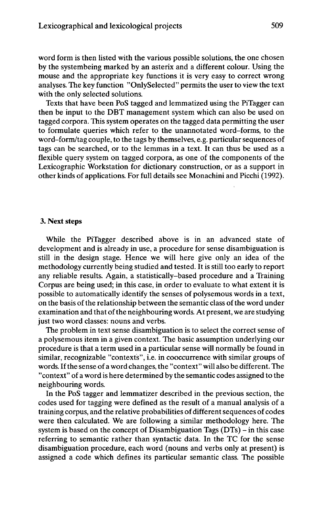word form is then listed with the various possible solutions, the one chosen by the systembeing marked by an asterix and a different colour. Using the mouse and the appropriate key functions it is very easy to correct wrong analyses. The key function "OnlySelected" permits the user to view the text with the only selected solutions.

Texts that have been PoS tagged and lemmatized using the PiTagger can then be input to the DBT management system which can also be used on tagged corpora. This system operates on the tagged data permitting the user to formulate queries which refer to the unannotated word-forms, to the word-form/tag couple, to the tags by themselves, e.g. particular sequences of tags can be searched, or to the lemmas in a text. It can thus be used as a flexible query system on tagged corpora, as one of the components of the Lexicographic Workstation for dictionary construction, or as a support in other kinds of applications. For full details see Monachini and Picchi (1992).

#### **3. Next steps**

While the PiTagger described above is in an advanced state of development and is already in use, a procedure for sense disambiguation is still in the design stage. Hence we will here give only an idea of the methodology currently being studied and tested. It is still too early to report any reliable results. Again, a statistically-based procedure and a Training Corpus are being used; in this case, in order to evaluate to what extent it is possible to automatically identify the senses of polysemous words in a text, on the basis of the relationship between the semantic class of the word under examination and that of the neighbouring words. At present, we are studying just two word classes: nouns and verbs.

The problem in text sense disambiguation is to select the correct sense of a polysemous item in a given context. The basic assumption underlying our procedure is that a term used in a particular sense will normally be found in similar, recognizable "contexts", i.e. in cooccurrence with similar groups of words. Ifthe sense of a word changes, the "context" will also be different. The "context" of a word is here determined by the semantic codes assigned to the neighbouring words.

In the PoS tagger and lemmatizer described in the previous section, the codes used for tagging were defined as the result of a manual analysis of a training corpus, and the relative probabilities of different sequences of codes were then calculated. We are following a similar methodology here. The system is based on the concept of Disambiguation Tags  $(DTs)$  – in this case referring to semantic rather than syntactic data. In the TC for the sense disambiguation procedure, each word (nouns and verbs only at present) is assigned a code which defines its particular semantic class. The possible